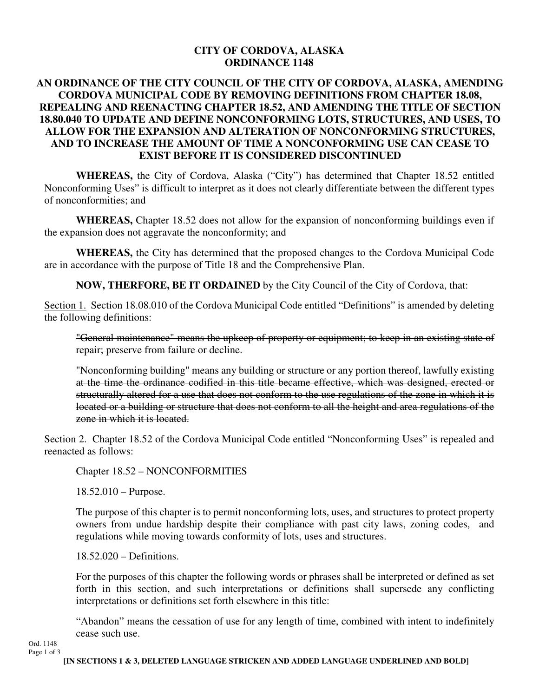## **CITY OF CORDOVA, ALASKA ORDINANCE 1148**

## **AN ORDINANCE OF THE CITY COUNCIL OF THE CITY OF CORDOVA, ALASKA, AMENDING CORDOVA MUNICIPAL CODE BY REMOVING DEFINITIONS FROM CHAPTER 18.08, REPEALING AND REENACTING CHAPTER 18.52, AND AMENDING THE TITLE OF SECTION 18.80.040 TO UPDATE AND DEFINE NONCONFORMING LOTS, STRUCTURES, AND USES, TO ALLOW FOR THE EXPANSION AND ALTERATION OF NONCONFORMING STRUCTURES, AND TO INCREASE THE AMOUNT OF TIME A NONCONFORMING USE CAN CEASE TO EXIST BEFORE IT IS CONSIDERED DISCONTINUED**

**WHEREAS,** the City of Cordova, Alaska ("City") has determined that Chapter 18.52 entitled Nonconforming Uses" is difficult to interpret as it does not clearly differentiate between the different types of nonconformities; and

**WHEREAS,** Chapter 18.52 does not allow for the expansion of nonconforming buildings even if the expansion does not aggravate the nonconformity; and

**WHEREAS,** the City has determined that the proposed changes to the Cordova Municipal Code are in accordance with the purpose of Title 18 and the Comprehensive Plan.

**NOW, THERFORE, BE IT ORDAINED** by the City Council of the City of Cordova, that:

Section 1. Section 18.08.010 of the Cordova Municipal Code entitled "Definitions" is amended by deleting the following definitions:

"General maintenance" means the upkeep of property or equipment; to keep in an existing state of repair; preserve from failure or decline.

"Nonconforming building" means any building or structure or any portion thereof, lawfully existing at the time the ordinance codified in this title became effective, which was designed, erected or structurally altered for a use that does not conform to the use regulations of the zone in which it is located or a building or structure that does not conform to all the height and area regulations of the zone in which it is located.

Section 2. Chapter 18.52 of the Cordova Municipal Code entitled "Nonconforming Uses" is repealed and reenacted as follows:

Chapter 18.52 – NONCONFORMITIES

18.52.010 – Purpose.

The purpose of this chapter is to permit nonconforming lots, uses, and structures to protect property owners from undue hardship despite their compliance with past city laws, zoning codes, and regulations while moving towards conformity of lots, uses and structures.

18.52.020 – Definitions.

For the purposes of this chapter the following words or phrases shall be interpreted or defined as set forth in this section, and such interpretations or definitions shall supersede any conflicting interpretations or definitions set forth elsewhere in this title:

"Abandon" means the cessation of use for any length of time, combined with intent to indefinitely cease such use.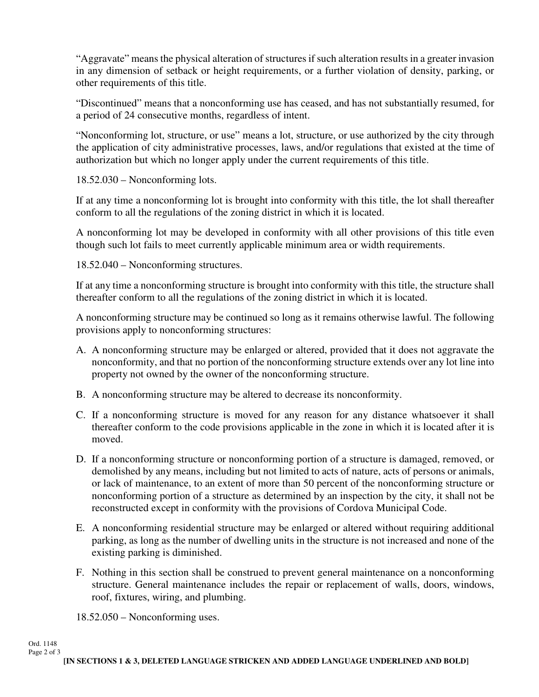"Aggravate" means the physical alteration of structures if such alteration results in a greater invasion in any dimension of setback or height requirements, or a further violation of density, parking, or other requirements of this title.

"Discontinued" means that a nonconforming use has ceased, and has not substantially resumed, for a period of 24 consecutive months, regardless of intent.

"Nonconforming lot, structure, or use" means a lot, structure, or use authorized by the city through the application of city administrative processes, laws, and/or regulations that existed at the time of authorization but which no longer apply under the current requirements of this title.

18.52.030 – Nonconforming lots.

If at any time a nonconforming lot is brought into conformity with this title, the lot shall thereafter conform to all the regulations of the zoning district in which it is located.

A nonconforming lot may be developed in conformity with all other provisions of this title even though such lot fails to meet currently applicable minimum area or width requirements.

18.52.040 – Nonconforming structures.

If at any time a nonconforming structure is brought into conformity with this title, the structure shall thereafter conform to all the regulations of the zoning district in which it is located.

A nonconforming structure may be continued so long as it remains otherwise lawful. The following provisions apply to nonconforming structures:

- A. A nonconforming structure may be enlarged or altered, provided that it does not aggravate the nonconformity, and that no portion of the nonconforming structure extends over any lot line into property not owned by the owner of the nonconforming structure.
- B. A nonconforming structure may be altered to decrease its nonconformity.
- C. If a nonconforming structure is moved for any reason for any distance whatsoever it shall thereafter conform to the code provisions applicable in the zone in which it is located after it is moved.
- D. If a nonconforming structure or nonconforming portion of a structure is damaged, removed, or demolished by any means, including but not limited to acts of nature, acts of persons or animals, or lack of maintenance, to an extent of more than 50 percent of the nonconforming structure or nonconforming portion of a structure as determined by an inspection by the city, it shall not be reconstructed except in conformity with the provisions of Cordova Municipal Code.
- E. A nonconforming residential structure may be enlarged or altered without requiring additional parking, as long as the number of dwelling units in the structure is not increased and none of the existing parking is diminished.
- F. Nothing in this section shall be construed to prevent general maintenance on a nonconforming structure. General maintenance includes the repair or replacement of walls, doors, windows, roof, fixtures, wiring, and plumbing.

18.52.050 – Nonconforming uses.